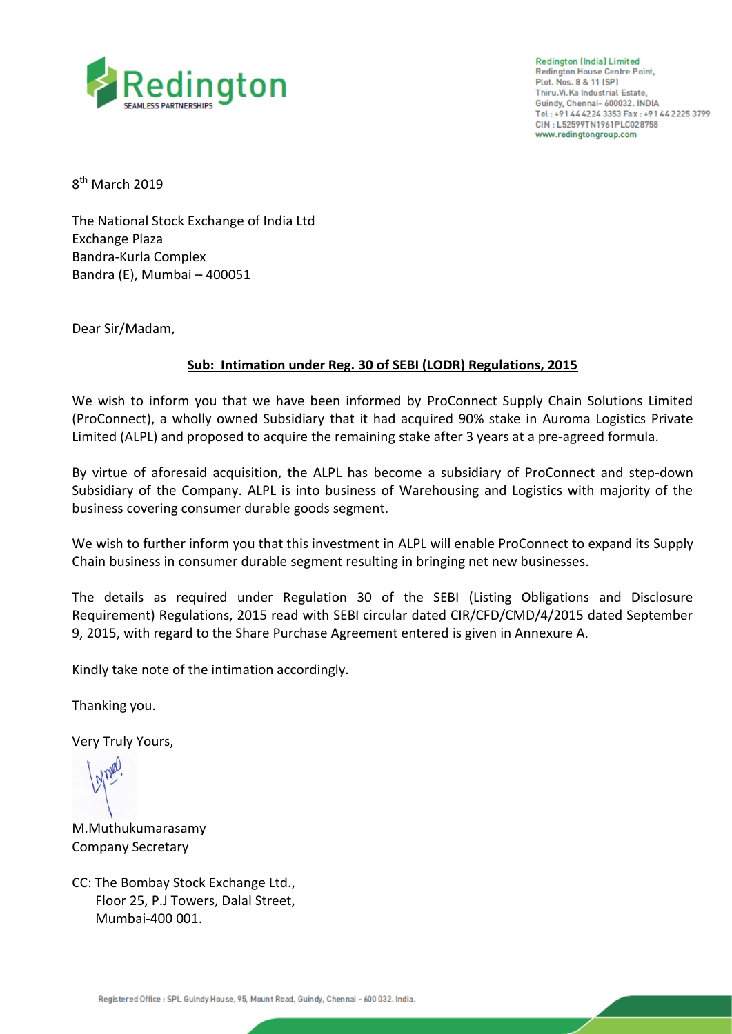

**Redington (India) Limited Redington House Centre Point,** Plot. Nos. 8 & 11 (SP) Thiru.Vi.Ka Industrial Estate, Guindy, Chennai- 600032. INDIA Tel: +91 44 42 24 3353 Fax: +91 44 2225 3799 CIN: L52599TN1961PLC028758 www.redingtongroup.com

8<sup>th</sup> March 2019

The National Stock Exchange of India Ltd Exchange Plaza Bandra-Kurla Complex Bandra (E), Mumbai – 400051

Dear Sir/Madam,

## **Sub: Intimation under Reg. 30 of SEBI (LODR) Regulations, 2015**

We wish to inform you that we have been informed by ProConnect Supply Chain Solutions Limited (ProConnect), a wholly owned Subsidiary that it had acquired 90% stake in Auroma Logistics Private Limited (ALPL) and proposed to acquire the remaining stake after 3 years at a pre-agreed formula.

By virtue of aforesaid acquisition, the ALPL has become a subsidiary of ProConnect and step-down Subsidiary of the Company. ALPL is into business of Warehousing and Logistics with majority of the business covering consumer durable goods segment.

We wish to further inform you that this investment in ALPL will enable ProConnect to expand its Supply Chain business in consumer durable segment resulting in bringing net new businesses.

The details as required under Regulation 30 of the SEBI (Listing Obligations and Disclosure Requirement) Regulations, 2015 read with SEBI circular dated CIR/CFD/CMD/4/2015 dated September 9, 2015, with regard to the Share Purchase Agreement entered is given in Annexure A.

Kindly take note of the intimation accordingly.

Thanking you.

Very Truly Yours,

M.Muthukumarasamy Company Secretary

CC: The Bombay Stock Exchange Ltd., Floor 25, P.J Towers, Dalal Street, Mumbai-400 001.